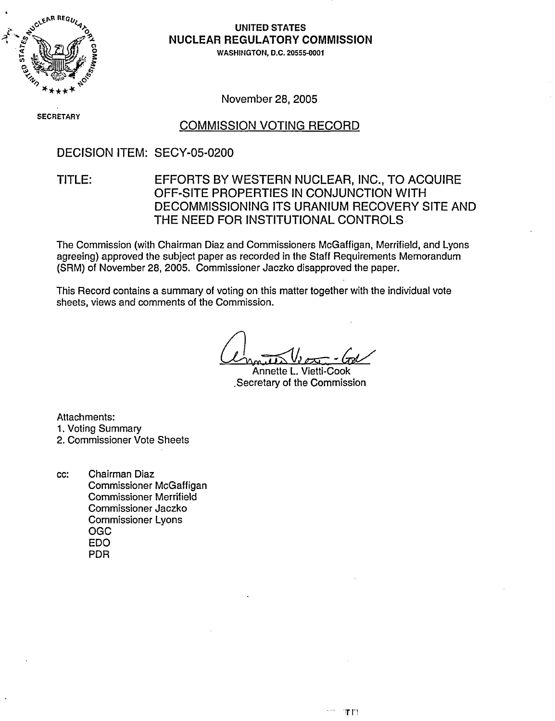

# **NUCLEAR REGULATORY COMMISSION**

WASHINGTON, D.C. 20555-0001

November 28, 2005

**SECRETARY** 

#### COMMISSION VOTING RECORD

#### DECISION ITEM: SECY-05-0200

# TITLE: EFFORTS BY WESTERN NUCLEAR, INC., TO ACQUIRE OFF-SITE PROPERTIES IN CONJUNCTION WITH DECOMMISSIONING ITS URANIUM RECOVERY SITE AND THE NEED FOR INSTITUTIONAL CONTROLS

The Commission (with Chairman Diaz and Commissioners McGaffigan, Merrifield, and Lyons agreeing) approved the subject paper as recorded in the Staff Requirements Memorandum (SRM) of November 28, 2005. Commissioner Jaczko disapproved the paper.

This Record contains a summary of voting on this matter together with the individual vote sheets, views and comments of the Commission.

Annette L. Vietti-Cook .Secretary of the Commission

Attachments:

1. Voting Summary

2. Commissioner Vote Sheets

cc: Chairman Diaz Commissioner McGaffigan Commissioner Merrifield Commissioner Jaczko Commissioner Lyons OGC EDO PDR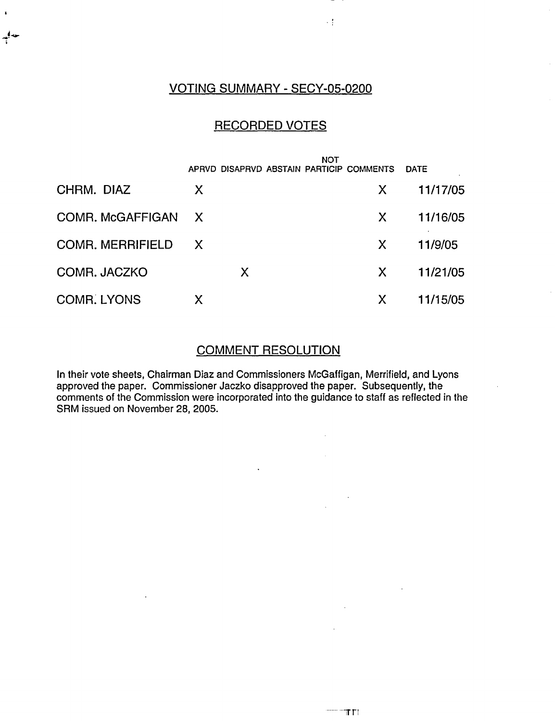# VOTING SUMMARY - SECY-05-0200

 $\mathbb{Z}_2^2$ 

 $\overline{\phantom{a}}$ 

## RECORDED VOTES

|                         |   | <b>NOT</b><br>APRVD DISAPRVD ABSTAIN PARTICIP COMMENTS |   | <b>DATE</b> |
|-------------------------|---|--------------------------------------------------------|---|-------------|
| CHRM. DIAZ              | X |                                                        | X | 11/17/05    |
| COMR. McGAFFIGAN X      |   |                                                        | X | 11/16/05    |
| <b>COMR. MERRIFIELD</b> | X |                                                        | X | 11/9/05     |
| COMR. JACZKO            | X |                                                        | X | 11/21/05    |
| <b>COMR. LYONS</b>      | X |                                                        | X | 11/15/05    |

#### COMMENT RESOLUTION

In their vote sheets, Chairman Diaz and Commissioners McGaffigan, Merrifield, and Lyons approved the paper. Commissioner Jaczko disapproved the paper. Subsequently, the comments of the Commission were incorporated into the guidance to staff as reflected in the SRM issued on November 28, 2005.

 $\ddot{\phantom{a}}$ 

 $\ddot{\phantom{a}}$ 

 $\sim$ 

 $\mathcal{L}_{\rm{in}}$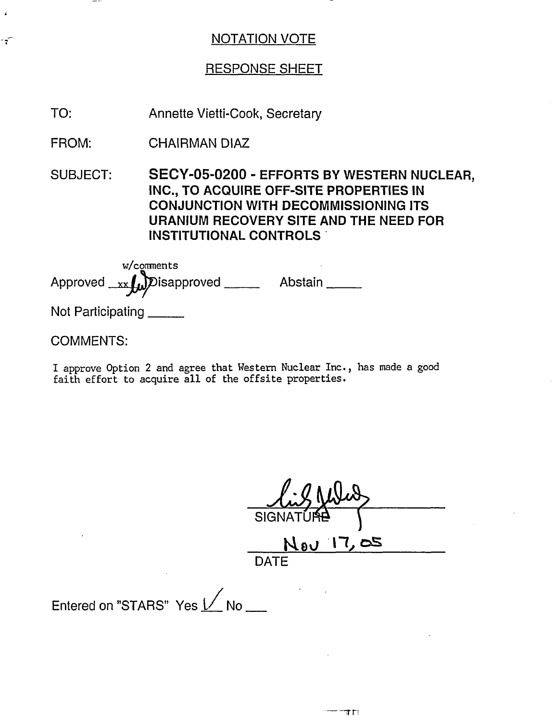## RESPONSE SHEET

TO: Annette Vietti-Cook, Secretary

FROM: CHAIRMAN DIAZ

SUBJECT: SECY-05-0200 - EFFORTS BY WESTERN NUCLEAR, INC., TO ACQUIRE OFF-SITE PROPERTIES IN CONJUNCTION WITH DECOMMISSIONING ITS URANIUM RECOVERY SITE AND THE NEED FOR INSTITUTIONAL CONTROLS'

Approved <u>xx</u> w/comments Disapproved \_\_\_\_\_\_ Abstain \_\_\_\_\_

Not Participating

COMMENTS:

ำำ

I approve Option 2 and agree that Western Nuclear Inc., has made a good faith effort to acquire all of the offsite properties.

SIGNATI Nov 17,05 DATE

Entered on "STARS" Yes  $1/$  No \_\_\_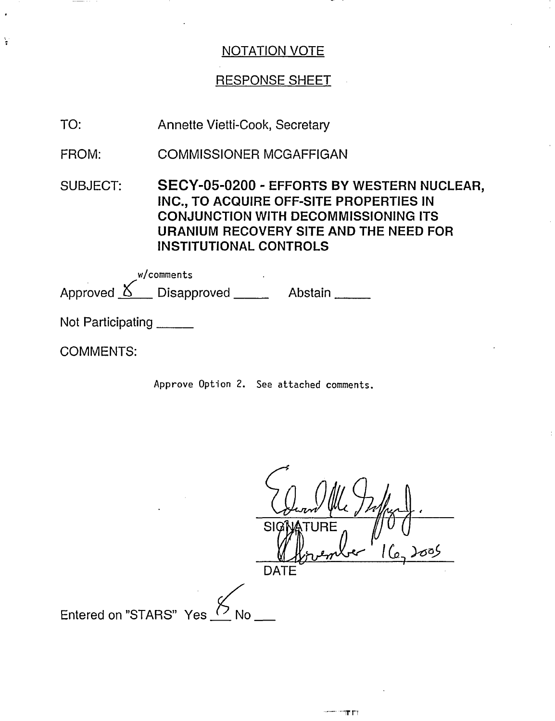#### RESPONSE SHEET

| Annette Vietti-Cook, Secretary |
|--------------------------------|
|                                |

FROM: COMMISSIONER MCGAFFIGAN

SUBJECT: SECY-05-0200 - EFFORTS BY WESTERN NUCLEAR, INC., TO ACQUIRE OFF-SITE PROPERTIES IN CONJUNCTION WITH DECOMMISSIONING ITS URANIUM RECOVERY SITE AND THE NEED FOR INSTITUTIONAL CONTROLS

|                   | w/comments                                           |         |
|-------------------|------------------------------------------------------|---------|
|                   | Approved $\underline{\mathcal{S}}$ Disapproved _____ | Abstain |
| Not Participating |                                                      |         |

COMMENTS:

ķ

Approve Option 2. See attached comments.

 $\epsilon$ a)<br>'114 **SIGNATURE** DATE Entered on "STARS" Yes  $(2)$  No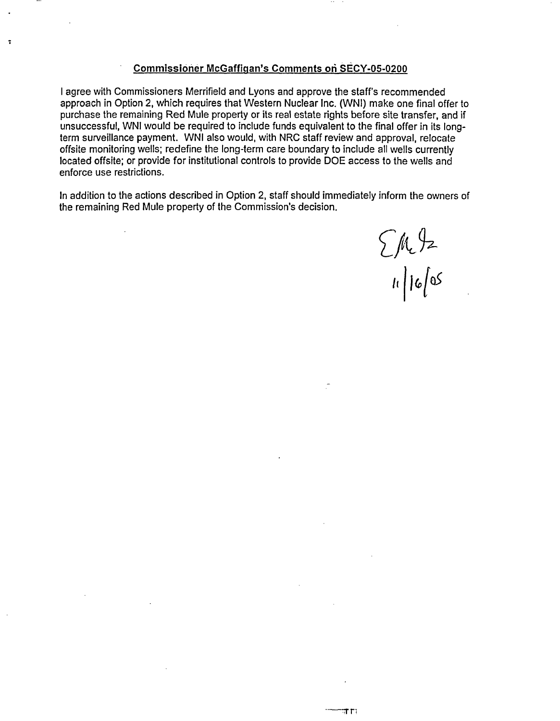#### Commissioner McGaffiqan's Comments **on** SECY-05-0200

I agree with Commissioners Merrifield and Lyons and approve the staff's recommended approach in Option 2, which requires that Western Nuclear Inc. (WNI) make one final offer to purchase the remaining Red Mule property or its real estate rights before site transfer, and if unsuccessful, WNI would be required to include funds equivalent to the final offer in its longterm surveillance payment. WNI also would, with NRC staff review and approval, relocate offsite monitoring wells; redefine the long-term care boundary to include all wells currently located offsite; or provide for institutional controls to provide DOE access to the wells and enforce use restrictions.

In addition to the actions described in Option 2, staff should immediately inform the owners of the remaining Red Mule property of the Commission's decision.

 $\sum M_e$ 92

या गा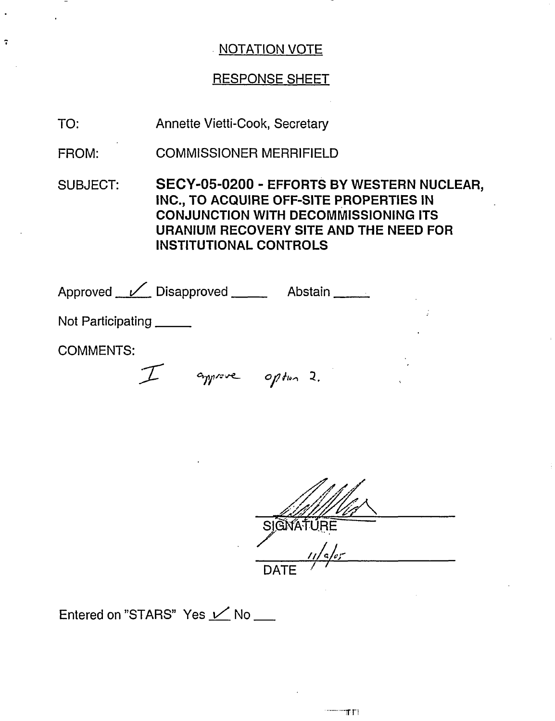# RESPONSE SHEET

TO: Annette Vietti-Cook, Secretary

FROM: COMMISSIONER MERRIFIELD

SUBJECT: SECY-05-0200 - EFFORTS BY WESTERN NUCLEAR, INC., TO ACQUIRE OFF-SITE PROPERTIES IN CONJUNCTION WITH DECOMMISSIONING ITS URANIUM RECOVERY SITE AND THE NEED FOR INSTITUTIONAL CONTROLS

Approved <u>V</u> Disapproved Abstain

Not Participating \_\_\_\_\_\_

COMMENTS:

 $\ddot{\cdot}$ 

V *<sup>017</sup>*oit,, 2.

SIGNATURE DATE  $\sqrt{ }$ 

Entered on "STARS" Yes  $\angle$  No \_\_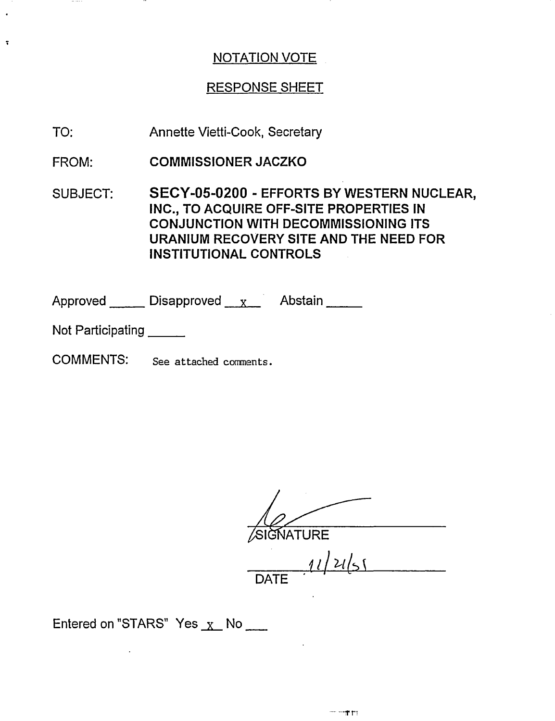# RESPONSE SHEET

- TO: Annette Vietti-Cook, Secretary
- FROM: COMMISSIONER JACZKO
- SUBJECT: SECY-05-0200 - EFFORTS BY WESTERN NUCLEAR, INC., TO ACQUIRE OFF-SITE PROPERTIES IN CONJUNCTION WITH DECOMMISSIONING ITS URANIUM RECOVERY SITE AND THE NEED FOR INSTITUTIONAL CONTROLS

Approved Disapproved x Abstain

Not Participating

 $\ddot{\phantom{0}}$ 

COMMENTS: See attached comments.

SIGNATURE

11 415 1  $\mathsf{DATE}$ 

Entered on "STARS" Yes  $X$  No  $\sim$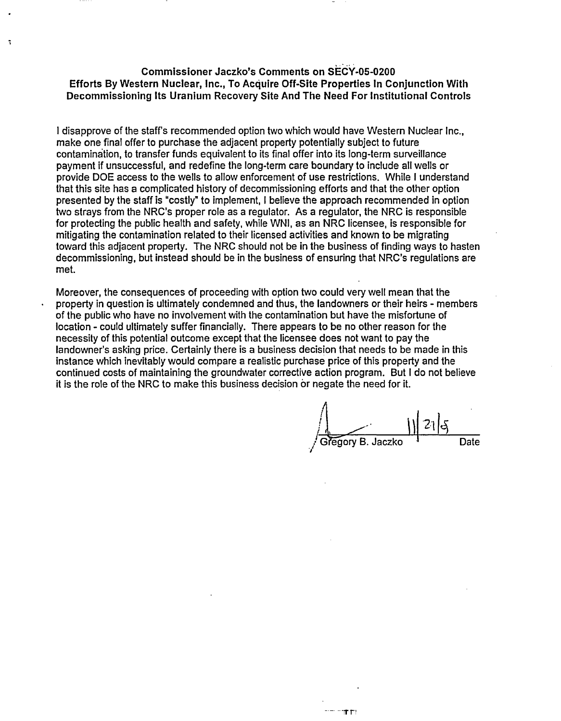#### **Commissioner Jaczko's Comments on SECY-05-0200 Efforts By Western Nuclear, Inc., To Acquire Off-Site Properties In Conjunction With Decommissioning Its Uranium Recovery Site And The Need For Institutional Controls**

 $\ddot{\phantom{a}}$ 

I disapprove of the staff's recommended option two which would have Western Nuclear Inc., make one final offer to purchase the adjacent property potentially subject to future contamination, to transfer funds equivalent to its final offer into its long-term surveillance payment if unsuccessful, and redefine the long-term care boundary to include all wells or provide DOE access to the wells to allow enforcement of use restrictions. While I understand that this site has a complicated history of decommissioning efforts and that the other option presented by the staff is "costly" to implement, I believe the approach recommended in option two strays from the NRC's proper role as a regulator. As a regulator, the NRC is responsible for protecting the public health and safety, while WNI, as an NRC licensee, is responsible for mitigating the contamination related to their licensed activities and known to be migrating toward this adjacent property. The NRC should not be in the business of finding ways to hasten decommissioning, but instead should be in the business of ensuring that NRC's regulations are met.

Moreover, the consequences of proceeding with option two could very well mean that the property in question is ultimately condemned and thus, the landowners or their heirs - members of the public who have no involvement with the contamination but have the misfortune of location - could ultimately suffer financially. There appears to be no other reason for the necessity of this potential outcome except that the licensee does not want to pay the landowner's asking price. Certainly there is a business decision that needs to be made in this instance which inevitably would compare a realistic purchase price of this property and the continued costs of maintaining the groundwater corrective action program. But I do not believe it is the role of the NRC to make this business decision or negate the need for it.

 $\frac{1}{\frac{1}{\frac{1}{1}}\frac{1}{\frac{1}{1}}\frac{1}{\frac{1}{1}}\frac{1}{\frac{1}{1}}\frac{1}{\frac{1}{1}}$ 

-T r